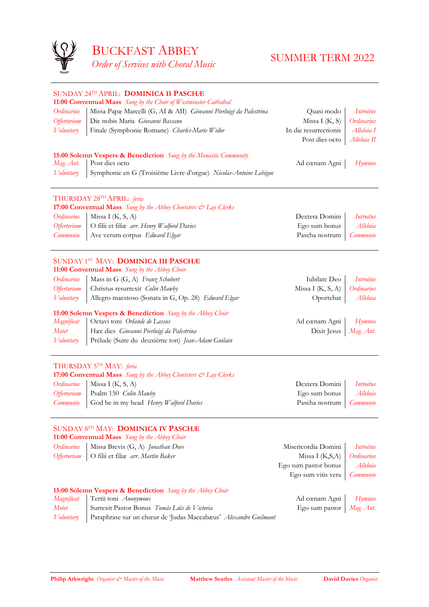

**11:00 Conventual Mass** *Sung by the Abbey Choir Ordinarius* | Missa Brevis (G, A) *Jonathan Dove* Misericordia Domini | *Introitus* 

|                           | SUNDAY 24TH APRIL: DOMINICA II PASCHÆ<br>11:00 Conventual Mass Sung by the Choir of Westminster Cathedral |                       |                  |
|---------------------------|-----------------------------------------------------------------------------------------------------------|-----------------------|------------------|
| Ordinarius                | Missa Papæ Marcelli (G, AI & AII) Giovanni Pierluigi da Palestrina                                        | Quasi modo            | <i>Introitus</i> |
| <b>Offertorium</b>        | Dic nobis Maria Giovanni Bassano                                                                          | Missa I $(K, S)$      | Ordinarius       |
| Voluntary                 | Finale (Symphonie Romane) Charles-Marie Widor                                                             | In die resurrectionis | Alleluia I       |
|                           |                                                                                                           | Post dies octo        | Alleluia II      |
|                           |                                                                                                           |                       |                  |
|                           | <b>15:00 Solemn Vespers &amp; Benediction</b> Sung by the Monastic Community                              |                       |                  |
| Mag. Ant.                 | Post dies octo                                                                                            | Ad cœnam Agni         | $H$ ymnus        |
| <i>V</i> oluntary         | Symphonie en G (Troisième Livre d'orgue) Nicolas-Antoine Lebègue                                          |                       |                  |
|                           | THURSDAY 28TH APRIL: feria                                                                                |                       |                  |
|                           | 17:00 Conventual Mass Sung by the Abbey Choristers & Lay Clerks                                           |                       |                  |
| Ordinarius                | Missa I $(K, S, A)$                                                                                       | Dextera Domini        | <i>Introitus</i> |
| <i><b>Offertorium</b></i> | O filii et filiæ arr. Henry Walford Davies                                                                | Ego sum bonus         | Alleluia         |
| Communio                  | Ave verum corpus Edward Elgar                                                                             | Pascha nostrum        | Communio         |
|                           | SUNDAY 1ST MAY: <b>DOMINICA III PASCHÆ</b><br>11:00 Conventual Mass Sung by the Abbey Choir               |                       |                  |
| Ordinarius                | Mass in G (G, A) Franz Schubert                                                                           | Iubilate Deo          | <i>Introitus</i> |
| <i><b>Offertorium</b></i> | Christus resurrexit Colin Mawby                                                                           | Missa I $(K, S, A)$   | Ordinarius       |
| <i>V</i> oluntary         | Allegro maestoso (Sonata in G, Op. 28) Edward Elgar                                                       | Oportebat             | Alleluia         |
|                           | 15:00 Solemn Vespers & Benediction Sung by the Abbey Choir                                                |                       |                  |
| Magnificat                | Octavi toni Orlande de Lassus                                                                             | Ad cœnam Agni         | Hymnus           |
| <b>Motet</b>              | Hæc dies Giovanni Pierluigi da Palestrina                                                                 | Dixit Jesus           | Mag. Ant.        |
| <i>V</i> oluntary         | Prélude (Suite du deuxième ton) Jean-Adam Guilain                                                         |                       |                  |
|                           | THURSDAY 5 <sup>TH</sup> MAY: feria                                                                       |                       |                  |
|                           | <b>17:00 Conventual Mass</b> Sung by the Abbey Choristers & Lay Clerks                                    |                       |                  |
| Ordinarius                | Missa I $(K, S, A)$                                                                                       | Dextera Domini        | <i>Introitus</i> |
| <i><b>Offertorium</b></i> | Psalm 150 <i>Colin Mawby</i>                                                                              | Ego sum bonus         | Alleluia         |
| Communio                  | God be in my head Henry Walford Davies                                                                    | Pascha nostrum        | Communio         |
|                           |                                                                                                           |                       |                  |

*Offertorium* | O filii et filiæ arr. *Martin Baker* Missa I (K,S,A) | Ordinarius Ego sum pastor bonus *Alleluia* Ego sum vitis vera *Communio*

#### SUNDAY 8TH MAY: **DOMINICA IV PASCHÆ**

#### **15:00 Solemn Vespers & Benediction** *Sung by the Abbey Choir*

*Magnificat* Tertii toni *Anonymous* Ad cœnam Agni *Hymnus Motet* Surrexit Pastor Bonus *Tomás Lúis de Victoria* Ego sum pastor *Mag. Ant. Voluntary* Paraphrase sur un chœur de 'Judas Maccabæus' *Alexandre Guilmant*

**Philip Arkwright** *Organist*  $\breve{c}$  *Master of the Music* **Matthew Searles** *Assistant Master of the Music* **David Davies** *Organist*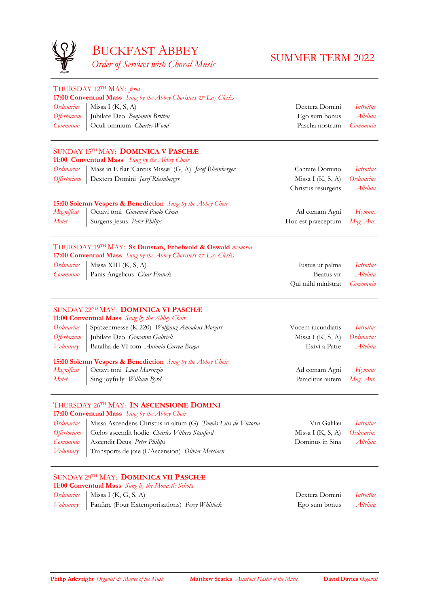

| Ordinarius<br><i><b>Offertorium</b></i><br>Communio | THURSDAY 12TH MAY: feria<br><b>17:00 Conventual Mass</b> Sung by the Abbey Choristers & Lay Clerks<br>Missa I $(K, S, A)$<br>Jubilate Deo Benjamin Britten<br>Oculi omnium Charles Wood | Dextera Domini<br>Ego sum bonus<br>Pascha nostrum | <i>Introitus</i><br>Alleluia<br>Communio |
|-----------------------------------------------------|-----------------------------------------------------------------------------------------------------------------------------------------------------------------------------------------|---------------------------------------------------|------------------------------------------|
|                                                     | SUNDAY 15TH MAY: <b>DOMINICA V PASCHÆ</b><br>11:00 Conventual Mass Sung by the Abbey Choir                                                                                              |                                                   |                                          |
| Ordinarius                                          | Mass in E flat 'Cantus Missæ' (G, A) Josef Rheinberger                                                                                                                                  | Cantate Domino                                    | Introitus                                |
| <i><b>Offertorium</b></i>                           | Dextera Domini Josef Rheinberger                                                                                                                                                        | Missa I $(K, S, A)$                               | Ordinarius                               |
|                                                     |                                                                                                                                                                                         | Christus resurgens                                | Alleluia                                 |
|                                                     | <b>15:00 Solemn Vespers &amp; Benediction</b> Sung by the Abbey Choir                                                                                                                   |                                                   |                                          |
| Magnificat                                          | Octavi toni Giovanni Paolo Cima                                                                                                                                                         | Ad cœnam Agni                                     | Hymnus                                   |
| <b>Motet</b>                                        | Surgens Jesus Peter Philips                                                                                                                                                             | Hoc est praeceptum                                | Mag. Ant.                                |
|                                                     | THURSDAY 19 <sup>TH</sup> MAY: Ss Dunstan, Ethelwold & Oswald <i>memoria</i><br><b>17:00 Conventual Mass</b> Sung by the Abbey Choristers $\mathcal{Q}^{\infty}$ Lay Clerks             |                                                   |                                          |
| Ordinarius                                          | Missa XIII $(K, S, A)$                                                                                                                                                                  | Iustus ut palma                                   | <i>Introitus</i>                         |
| Communio                                            | Panis Angelicus César Franck                                                                                                                                                            | Beatus vir                                        | Alleluia                                 |

Qui mihi ministrat *Communio*

**Philip Arkwright** *Organist*  $\breve{\in}$  *Master of the Music* **Matthew Searles** *Assistant Master of the Music* **David Davies** *Organist* 

#### SUNDAY 22NDMAY: **DOMINICA VI PASCHÆ**

**11:00 Conventual Mass** *Sung by the Abbey Choir Ordinarius* Spatzenmesse (K 220) *Wolfgang Amadeus Mozart* Vocem iucundiatis *Introitus Offertorium* | Jubilate Deo *Giovanni Gabrieli* Missa I (K, S, A) | *Ordinarius Voluntary* Batalha de VI tom *Antonio Correa Braga* Exivi a Patre | *Alleluia* **15:00 Solemn Vespers & Benediction** *Sung by the Abbey Choir Magnificat* | Octavi toni *Luca Marenzio* **Ad cœnam Agni | Hymnus Ad cœnam Agni | Hymnus** *Motet* Sing joyfully *William Byrd* Paraclitus autem *Mag. Ant.*

## THURSDAY 26TH MAY: **IN ASCENSIONE DOMINI**

**17:00 Conventual Mass** *Sung by the Abbey Choir*

| Ordinarius   Missa Ascendens Christus in altum (G) Tomás Lúis de Victoria | Viri Galilæi <i>Introitus</i>    |  |
|---------------------------------------------------------------------------|----------------------------------|--|
| Offertorium   Cœlos ascendit hodie Charles Villiers Stanford              | Missa I $(K, S, A)$   Ordinarius |  |
| Communio   Ascendit Deus Peter Philips                                    | Dominus in Sina   Alleluia       |  |
| Voluntary   Transports de joie (L'Ascension) Olivier Messiaen             |                                  |  |

SUNDAY 29TH MAY: **DOMINICA VII PASCHÆ 11:00 Conventual Mass** *Sung by the Monastic Schola*

*Ordinarius* Missa I (K, G, S, A) Dextera Domini *Introitus Voluntary* Fanfare (Four Extemporisations) *Percy Whitlock* Ego sum bonus *Alleluia*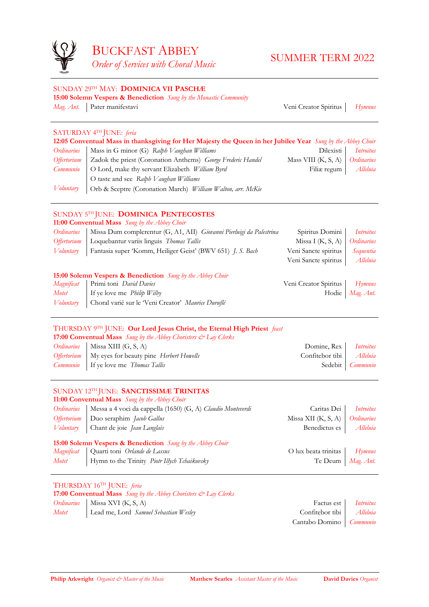

#### SUNDAY 29TH MAY: **DOMINICA VII PASCHÆ 15:00 Solemn Vespers & Benediction** *Sung by the Monastic Community*

*Mag. Ant.* Pater manifestavi Veni Creator Spiritus *Hymnus*

### SATURDAY 4TH JUNE: *feria*

| 12:05 Conventual Mass in thanksgiving for Her Majesty the Queen in her Jubilee Year Sung by the Abbey Choir |                     |
|-------------------------------------------------------------------------------------------------------------|---------------------|
| $Ordinomus$ Moss in $G$ minor $(G)$ , Rath $Valabay$ Williams                                               | Dilovicti Introitus |

| $U$ <i>U</i> unuuns |                                                              | DIICAISU                           | <i>Introuves</i> |
|---------------------|--------------------------------------------------------------|------------------------------------|------------------|
| Offertorium         | Zadok the priest (Coronation Anthems) George Frederic Handel | Mass VIII $(K, S, A)$   Ordinarius |                  |
| Communio            | O Lord, make thy servant Elizabeth William Byrd              | Filiæ regum   <i>Alleluia</i>      |                  |
|                     | O taste and see Ralph V aughan Williams                      |                                    |                  |
| Voluntary           | Orb & Sceptre (Coronation March) William Walton, arr. McKie  |                                    |                  |

#### SUNDAY 5TH JUNE: **DOMINICA PENTECOSTES**

#### **11:00 Conventual Mass** *Sung by the Abbey Choir*

#### THURSDAY 16TH JUNE: *feria* **17:00 Conventual Mass** *Sung by the Abbey Choristers & Lay Clerks Ordinarius* Missa XVI (K, S, A) Factus est *Introitus Motet* Lead me, Lord *Samuel Sebastian Wesley* Confitebor tibi *Alleluia*

| Ordinarius                | Missa Dum complerentur (G, A1, AII) Giovanni Pierluigi da Palestrina  | Spiritus Domini       | Introitus                  |
|---------------------------|-----------------------------------------------------------------------|-----------------------|----------------------------|
| <i><b>Offertorium</b></i> | Loquebantur variis linguis Thomas Tallis                              | Missa I $(K, S, A)$   | Ordinarius                 |
| Voluntary                 | Fantasia super 'Komm, Heiliger Geist' (BWV 651) J. S. Bach            | Veni Sancte spiritus  | Sequentia                  |
|                           |                                                                       | Veni Sancte spiritus  | Alleluia                   |
|                           | <b>15:00 Solemn Vespers &amp; Benediction</b> Sung by the Abbey Choir |                       |                            |
| Magnificat                | Primi toni David Davies                                               | Veni Creator Spiritus | H <sub>Y</sub> <i>mnus</i> |
| Motet                     | If ye love me <i>Philip Wilby</i>                                     | Hodie                 | Mag. Ant.                  |
| Voluntary                 | Choral varié sur le Veni Creator' Maurice Duruflé                     |                       |                            |

# THURSDAY 9TH JUNE: **Our Lord Jesus Christ, the Eternal High Priest** *feast*

**17:00 Conventual Mass** *Sung by the Abbey Choristers & Lay Clerks*

| <i>Ordinarius</i>   Missa XIII (G, S, A)                            | Domine, Rex <i>Introitus</i> |                  |
|---------------------------------------------------------------------|------------------------------|------------------|
| <i>Offertorium</i>   My eyes for beauty pine <i>Herbert Howells</i> | Confitebor tibi Alleluia     |                  |
| <i>Communio</i>   If ye love me <i>Thomas Tallis</i>                |                              | Sedebit Communio |

### SUNDAY 12TH JUNE: **SANCTISSIMÆ TRINITAS**

**11:00 Conventual Mass** *Sung by the Abbey Choir*

| Ordinarius   Messa a 4 voci da cappella (1650) (G, A) Claudio Monteverdi | Caritas Dei Introitus            |  |
|--------------------------------------------------------------------------|----------------------------------|--|
| Offertorium   Duo seraphim Jacob Gallus                                  | Missa XII $(K, S, A)$ Ordinarius |  |
| Voluntary Chant de joie Jean Langlais                                    | Benedictus es   <i>Alleluia</i>  |  |

#### **15:00 Solemn Vespers & Benediction** *Sung by the Abbey Choir*

| Magnificat Quarti toni Orlande de Lassus | O lux beata trinitas Hymnus |  |
|------------------------------------------|-----------------------------|--|
| $\mathbf{r}$                             |                             |  |

*Motet* Hymn to the Trinity *Piotr Illych Tchaikovsky* Te Deum *Mag. Ant.* 



Cantabo Domino *Communio*

**Philip Arkwright** *Organist*  $\breve{\in}$  *Master of the Music* **Matthew Searles** *Assistant Master of the Music* **David Davies** *Organist*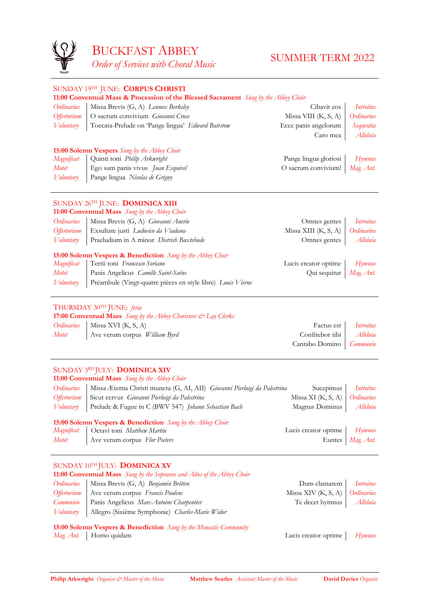

|                    | SUNDAY 19TH JUNE: CORPUS CHRISTI                                                    |                        |                  |
|--------------------|-------------------------------------------------------------------------------------|------------------------|------------------|
|                    | 11:00 Conventual Mass & Procession of the Blessed Sacrament Sung by the Abbey Choir |                        |                  |
| Ordinarius         | Missa Brevis (G, A) Lennox Berkeley                                                 | Cibavit eos            | Introitus        |
| <b>Offertorium</b> | O sacrum convivium Giovanni Croce                                                   | Missa VIII $(K, S, A)$ | Ordinarius       |
| Voluntary          | Toccata-Prelude on Pange lingua' Edward Bairstow                                    | Ecce panis angelorum   | Sequentia        |
|                    |                                                                                     | Caro mea               | Alleluia         |
|                    | <b>15:00 Solemn Vespers</b> Sung by the Abbey Choir                                 |                        |                  |
| Magnificat         | Quinti toni Philip Arkwright                                                        | Pange lingua gloriosi  | <b>Hymnus</b>    |
| <b>Motet</b>       | Ego sum panis vivus Juan Esquivel                                                   | O sacrum convivium!    | Mag. Ant.        |
| <i>V</i> oluntary  | Pange lingua Nicolas de Grigny                                                      |                        |                  |
|                    |                                                                                     |                        |                  |
|                    | SUNDAY 26TH JUNE: DOMINICA XIII                                                     |                        |                  |
|                    | 11:00 Conventual Mass Sung by the Abbey Choir                                       |                        |                  |
| Ordinarius         | Missa Brevis (G, A) Giovanni Anerio                                                 | Omnes gentes           | <i>Introitus</i> |
| <b>Offertorium</b> | Exsultate justi Ludovico da Viadana                                                 | Missa XIII (K, S, A)   | Ordinarius       |
| Voluntary          | Praeludium in A minor Dietrich Buxtehude                                            | Omnes gentes           | Alleluia         |
|                    | <b>15:00 Solemn Vespers &amp; Benediction</b> Sung by the Abbey Choir               |                        |                  |
| Magnificat         | Tertii toni Francesco Soriano                                                       | Lucis creator optime   | Hymnus           |
| <b>Motet</b>       | Panis Angelicus Camille Saint-Saëns                                                 | Qui sequitur           | Mag. Ant.        |
| Voluntary          | Préambule (Vingt-quatre pièces en style libre) Louis Vierne                         |                        |                  |
|                    |                                                                                     |                        |                  |
|                    | THURSDAY 30TH JUNE: feria                                                           |                        |                  |
|                    | 17:00 Conventual Mass Sung by the Abbey Choristers & Lay Clerks                     |                        |                  |
| Ordinarius         | Missa XVI $(K, S, A)$                                                               | Factus est             | <b>Introitus</b> |
| <b>Motet</b>       | Ave verum corpus William Byrd                                                       | Confitebor tibi        | Alleluia         |
|                    |                                                                                     | Cantabo Domino         | Communio         |

*Ordinarius* | Missa Brevis (G, A) *Benjamin Britten* Dum Clamarem | *Introitus Offertorium* Ave verum corpus *Francis Poulenc* Missa XIV (K, S, A) *Ordinarius Communio* Panis Angelicus *Marc-Antoine Charpentier* Te decet hymnus *Alleluia Voluntary* Allegro (Sixième Symphonie) *Charles-Marie Widor*

**15:00 Solemn Vespers & Benediction** *Sung by the Monastic Community Mag. Ant.* | Homo quidam Lucis creator optime | Hymnus

**Philip Arkwright** *Organist*  $\circledcirc$  *Master of the Music* **Matthew Searles** *Assistant Master of the Music* **David Davies** *Organist* 

## SUNDAY 3RD JULY: **DOMINICA XIV**

**11:00 Conventual Mass** *Sung by the Abbey Choir*

| Ordinarius   Missa Æterna Christi munera (G, AI, AII) Giovanni Pierluigi da Palestrina | Sucepimus <i>Introitus</i>                  |  |
|----------------------------------------------------------------------------------------|---------------------------------------------|--|
| Offertorium Sicut cervus Giovanni Pierluigi da Palestrina                              | Missa XI (K, S, A) $\int$ <i>Ordinarius</i> |  |
| Voluntary   Prelude & Fugue in C (BWV 547) Johann Sebastian Bach                       | Magnus Dominus   Alleluia                   |  |

#### **15:00 Solemn Vespers & Benediction** *Sung by the Abbey Choir*

|       | Magnificat   Octavi toni Matthew Martin | Lucis creator optime   Hymnus |                    |
|-------|-----------------------------------------|-------------------------------|--------------------|
| Motet | Ave verum corpus Flor Peeters           |                               | Euntes   Mag. Ant. |

## SUNDAY 10TH JULY: **DOMINICA XV 11:00 Conventual Mass** *Sung by the Sopranos and Altos of the Abbey Choir*